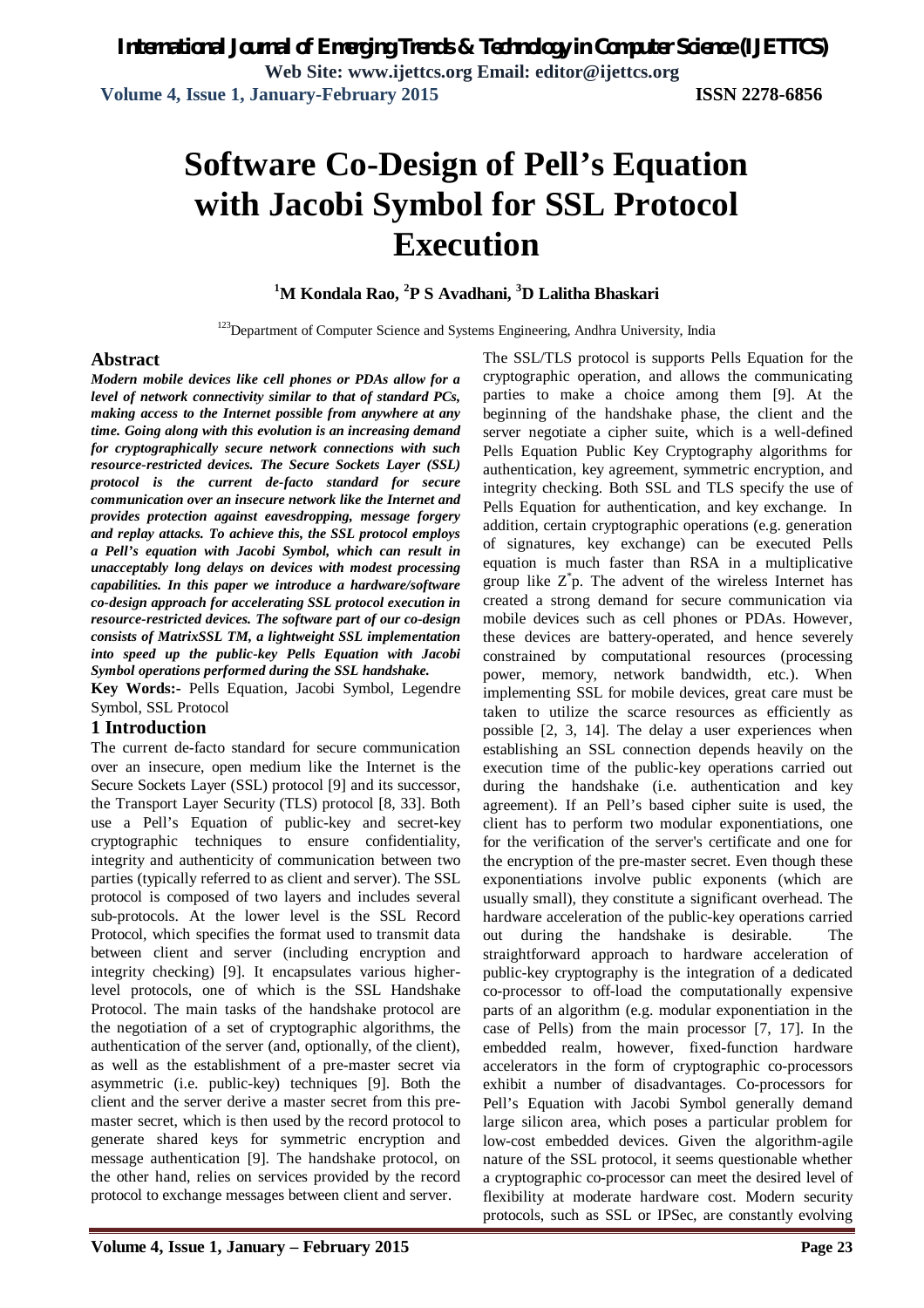# **Software Co-Design of Pell's Equation with Jacobi Symbol for SSL Protocol Execution**

## **<sup>1</sup>M Kondala Rao, <sup>2</sup>P S Avadhani, <sup>3</sup>D Lalitha Bhaskari**

<sup>123</sup>Department of Computer Science and Systems Engineering, Andhra University, India

#### **Abstract**

*Modern mobile devices like cell phones or PDAs allow for a level of network connectivity similar to that of standard PCs, making access to the Internet possible from anywhere at any time. Going along with this evolution is an increasing demand for cryptographically secure network connections with such resource-restricted devices. The Secure Sockets Layer (SSL) protocol is the current de-facto standard for secure communication over an insecure network like the Internet and provides protection against eavesdropping, message forgery and replay attacks. To achieve this, the SSL protocol employs a Pell's equation with Jacobi Symbol, which can result in unacceptably long delays on devices with modest processing capabilities. In this paper we introduce a hardware/software co-design approach for accelerating SSL protocol execution in resource-restricted devices. The software part of our co-design consists of MatrixSSL TM, a lightweight SSL implementation into speed up the public-key Pells Equation with Jacobi Symbol operations performed during the SSL handshake.* 

**Key Words:-** Pells Equation, Jacobi Symbol, Legendre Symbol, SSL Protocol

#### **1 Introduction**

The current de-facto standard for secure communication over an insecure, open medium like the Internet is the Secure Sockets Layer (SSL) protocol [9] and its successor, the Transport Layer Security (TLS) protocol [8, 33]. Both use a Pell's Equation of public-key and secret-key cryptographic techniques to ensure confidentiality, integrity and authenticity of communication between two parties (typically referred to as client and server). The SSL protocol is composed of two layers and includes several sub-protocols. At the lower level is the SSL Record Protocol, which specifies the format used to transmit data between client and server (including encryption and integrity checking) [9]. It encapsulates various higherlevel protocols, one of which is the SSL Handshake Protocol. The main tasks of the handshake protocol are the negotiation of a set of cryptographic algorithms, the authentication of the server (and, optionally, of the client), as well as the establishment of a pre-master secret via asymmetric (i.e. public-key) techniques [9]. Both the client and the server derive a master secret from this premaster secret, which is then used by the record protocol to generate shared keys for symmetric encryption and message authentication [9]. The handshake protocol, on the other hand, relies on services provided by the record protocol to exchange messages between client and server.

The SSL/TLS protocol is supports Pells Equation for the cryptographic operation, and allows the communicating parties to make a choice among them [9]. At the beginning of the handshake phase, the client and the server negotiate a cipher suite, which is a well-defined Pells Equation Public Key Cryptography algorithms for authentication, key agreement, symmetric encryption, and integrity checking. Both SSL and TLS specify the use of Pells Equation for authentication, and key exchange. In addition, certain cryptographic operations (e.g. generation of signatures, key exchange) can be executed Pells equation is much faster than RSA in a multiplicative group like  $Z^*p$ . The advent of the wireless Internet has created a strong demand for secure communication via mobile devices such as cell phones or PDAs. However, these devices are battery-operated, and hence severely constrained by computational resources (processing power, memory, network bandwidth, etc.). When implementing SSL for mobile devices, great care must be taken to utilize the scarce resources as efficiently as possible [2, 3, 14]. The delay a user experiences when establishing an SSL connection depends heavily on the execution time of the public-key operations carried out during the handshake (i.e. authentication and key agreement). If an Pell's based cipher suite is used, the client has to perform two modular exponentiations, one for the verification of the server's certificate and one for the encryption of the pre-master secret. Even though these exponentiations involve public exponents (which are usually small), they constitute a significant overhead. The hardware acceleration of the public-key operations carried out during the handshake is desirable. The straightforward approach to hardware acceleration of public-key cryptography is the integration of a dedicated co-processor to off-load the computationally expensive parts of an algorithm (e.g. modular exponentiation in the case of Pells) from the main processor [7, 17]. In the embedded realm, however, fixed-function hardware accelerators in the form of cryptographic co-processors exhibit a number of disadvantages. Co-processors for Pell's Equation with Jacobi Symbol generally demand large silicon area, which poses a particular problem for low-cost embedded devices. Given the algorithm-agile nature of the SSL protocol, it seems questionable whether a cryptographic co-processor can meet the desired level of flexibility at moderate hardware cost. Modern security protocols, such as SSL or IPSec, are constantly evolving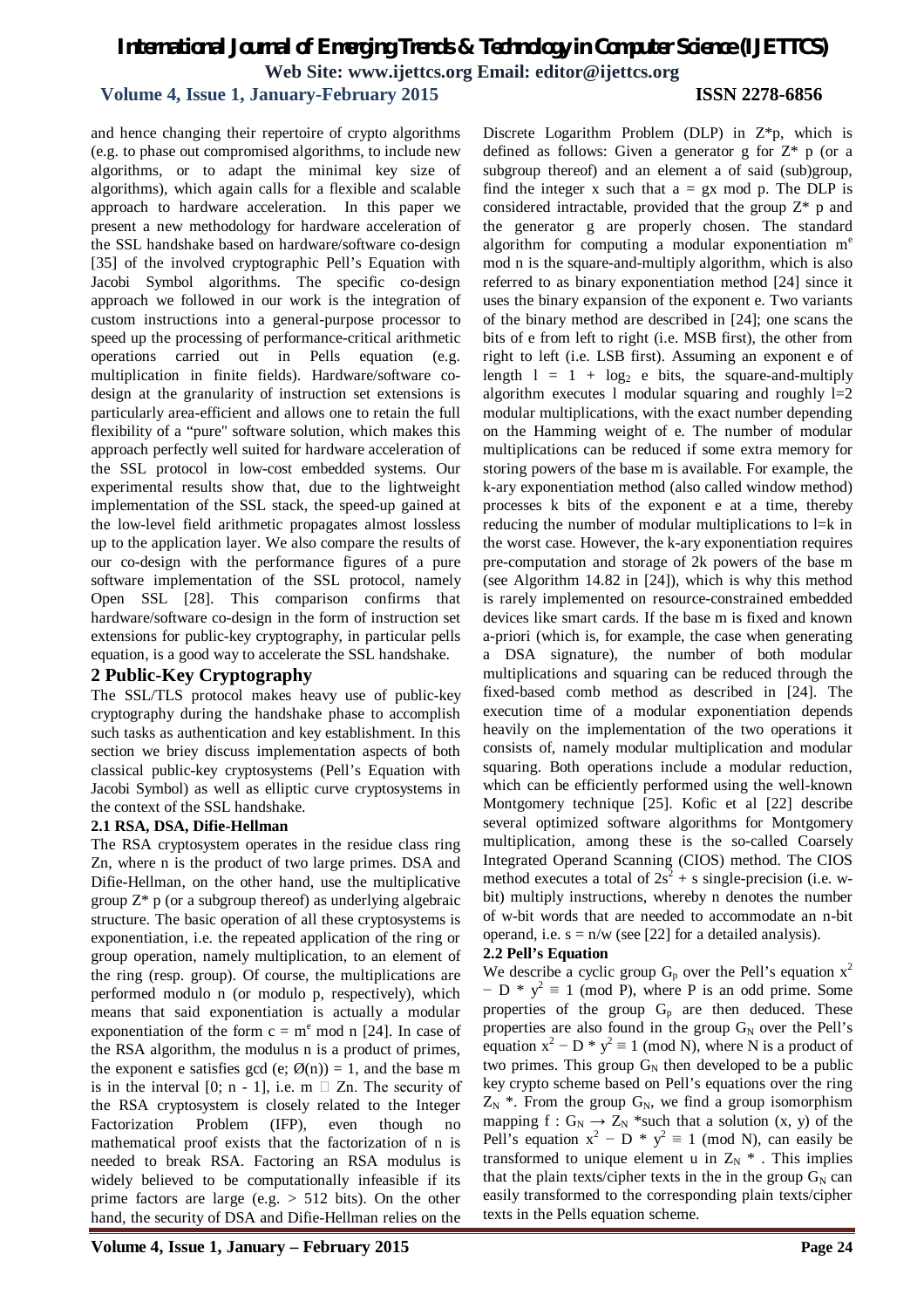## **Volume 4, Issue 1, January-February 2015 ISSN 2278-6856**

and hence changing their repertoire of crypto algorithms (e.g. to phase out compromised algorithms, to include new algorithms, or to adapt the minimal key size of algorithms), which again calls for a flexible and scalable approach to hardware acceleration. In this paper we present a new methodology for hardware acceleration of the SSL handshake based on hardware/software co-design [35] of the involved cryptographic Pell's Equation with Jacobi Symbol algorithms. The specific co-design approach we followed in our work is the integration of custom instructions into a general-purpose processor to speed up the processing of performance-critical arithmetic operations carried out in Pells equation (e.g. multiplication in finite fields). Hardware/software codesign at the granularity of instruction set extensions is particularly area-efficient and allows one to retain the full flexibility of a "pure" software solution, which makes this approach perfectly well suited for hardware acceleration of the SSL protocol in low-cost embedded systems. Our experimental results show that, due to the lightweight implementation of the SSL stack, the speed-up gained at the low-level field arithmetic propagates almost lossless up to the application layer. We also compare the results of our co-design with the performance figures of a pure software implementation of the SSL protocol, namely Open SSL [28]. This comparison confirms that hardware/software co-design in the form of instruction set extensions for public-key cryptography, in particular pells equation, is a good way to accelerate the SSL handshake.

#### **2 Public-Key Cryptography**

The SSL/TLS protocol makes heavy use of public-key cryptography during the handshake phase to accomplish such tasks as authentication and key establishment. In this section we briey discuss implementation aspects of both classical public-key cryptosystems (Pell's Equation with Jacobi Symbol) as well as elliptic curve cryptosystems in the context of the SSL handshake.

#### **2.1 RSA, DSA, Difie-Hellman**

The RSA cryptosystem operates in the residue class ring Zn, where n is the product of two large primes. DSA and Difie-Hellman, on the other hand, use the multiplicative group  $Z^*$  p (or a subgroup thereof) as underlying algebraic structure. The basic operation of all these cryptosystems is exponentiation, i.e. the repeated application of the ring or group operation, namely multiplication, to an element of the ring (resp. group). Of course, the multiplications are performed modulo n (or modulo p, respectively), which means that said exponentiation is actually a modular exponentiation of the form  $c = m<sup>e</sup>$  mod n [24]. In case of the RSA algorithm, the modulus n is a product of primes, the exponent e satisfies gcd (e;  $\emptyset(n) = 1$ , and the base m is in the interval [0; n - 1], i.e.  $m \square Zn$ . The security of the RSA cryptosystem is closely related to the Integer Factorization Problem (IFP), even though no mathematical proof exists that the factorization of n is needed to break RSA. Factoring an RSA modulus is widely believed to be computationally infeasible if its prime factors are large (e.g. > 512 bits). On the other hand, the security of DSA and Difie-Hellman relies on the

Discrete Logarithm Problem (DLP) in Z\*p, which is defined as follows: Given a generator g for  $Z^*$  p (or a subgroup thereof) and an element a of said (sub)group, find the integer x such that  $a = gx \mod p$ . The DLP is considered intractable, provided that the group  $Z^*$  p and the generator g are properly chosen. The standard algorithm for computing a modular exponentiation m<sup>e</sup> mod n is the square-and-multiply algorithm, which is also referred to as binary exponentiation method [24] since it uses the binary expansion of the exponent e. Two variants of the binary method are described in [24]; one scans the bits of e from left to right (i.e. MSB first), the other from right to left (i.e. LSB first). Assuming an exponent e of length  $1 = 1 + \log_2 e$  bits, the square-and-multiply algorithm executes 1 modular squaring and roughly  $l=2$ modular multiplications, with the exact number depending on the Hamming weight of e. The number of modular multiplications can be reduced if some extra memory for storing powers of the base m is available. For example, the k-ary exponentiation method (also called window method) processes k bits of the exponent e at a time, thereby reducing the number of modular multiplications to l=k in the worst case. However, the k-ary exponentiation requires pre-computation and storage of 2k powers of the base m (see Algorithm 14.82 in [24]), which is why this method is rarely implemented on resource-constrained embedded devices like smart cards. If the base m is fixed and known a-priori (which is, for example, the case when generating a DSA signature), the number of both modular multiplications and squaring can be reduced through the fixed-based comb method as described in [24]. The execution time of a modular exponentiation depends heavily on the implementation of the two operations it consists of, namely modular multiplication and modular squaring. Both operations include a modular reduction, which can be efficiently performed using the well-known Montgomery technique [25]. Kofic et al [22] describe several optimized software algorithms for Montgomery multiplication, among these is the so-called Coarsely Integrated Operand Scanning (CIOS) method. The CIOS method executes a total of  $2s^2 + s$  single-precision (i.e. wbit) multiply instructions, whereby n denotes the number of w-bit words that are needed to accommodate an n-bit operand, i.e.  $s = n/w$  (see [22] for a detailed analysis).

#### **2.2 Pell's Equation**

We describe a cyclic group  $G_p$  over the Pell's equation  $x^2$  $-D$  \*  $y^2 \equiv 1 \pmod{P}$ , where P is an odd prime. Some properties of the group  $G_p$  are then deduced. These properties are also found in the group  $G_N$  over the Pell's equation  $x^2 - D * y^2 \equiv 1 \pmod{N}$ , where N is a product of two primes. This group  $G_N$  then developed to be a public key crypto scheme based on Pell's equations over the ring  $Z_N$ <sup>\*</sup>. From the group  $G_N$ , we find a group isomorphism mapping  $f: G_N \to Z_N$  \*such that a solution  $(x, y)$  of the Pell's equation  $x^2 - D * y^2 \equiv 1 \pmod{N}$ , can easily be transformed to unique element u in  $Z_N$  \* . This implies that the plain texts/cipher texts in the in the group  $G_N$  can easily transformed to the corresponding plain texts/cipher texts in the Pells equation scheme.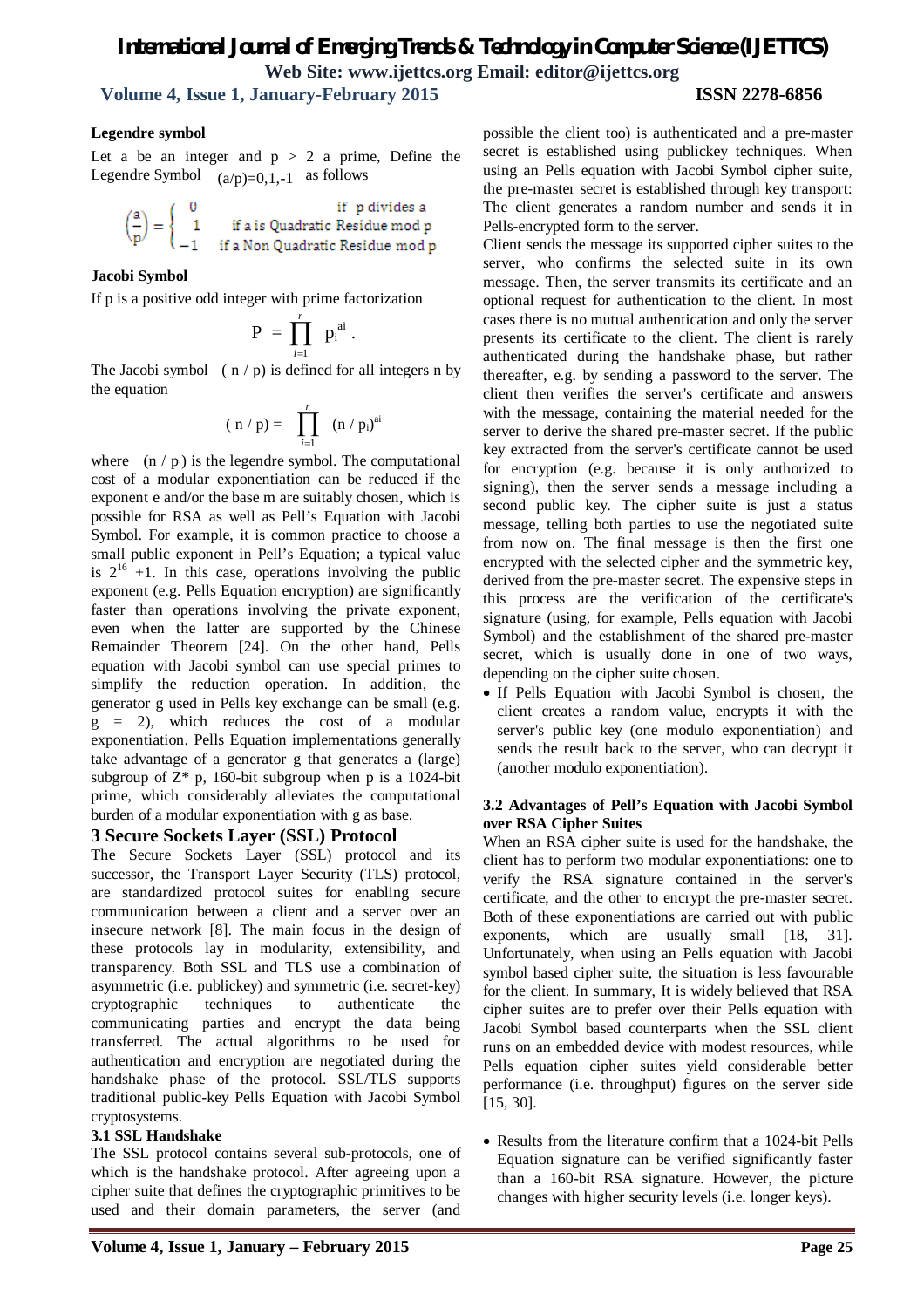## *International Journal of Emerging Trends & Technology in Computer Science (IJETTCS)* **Web Site: www.ijettcs.org Email: editor@ijettcs.org Volume 4, Issue 1, January-February 2015 ISSN 2278-6856**

## **Legendre symbol**

Let a be an integer and  $p > 2$  a prime, Define the Legendre Symbol  $(a/p)=0,1,-1$  as follows



#### **Jacobi Symbol**

If p is a positive odd integer with prime factorization

$$
P = \prod_{i=1}^r p_i^{ai}
$$

.

The Jacobi symbol  $(n/p)$  is defined for all integers n by the equation

$$
(\;n\;/\;p) = \prod_{i=1}^r \ (n\;/\;p_i)^{ai}
$$

where  $(n / p_i)$  is the legendre symbol. The computational cost of a modular exponentiation can be reduced if the exponent e and/or the base m are suitably chosen, which is possible for RSA as well as Pell's Equation with Jacobi Symbol. For example, it is common practice to choose a small public exponent in Pell's Equation; a typical value is  $2^{16}$  +1. In this case, operations involving the public exponent (e.g. Pells Equation encryption) are significantly faster than operations involving the private exponent, even when the latter are supported by the Chinese Remainder Theorem [24]. On the other hand, Pells equation with Jacobi symbol can use special primes to simplify the reduction operation. In addition, the generator g used in Pells key exchange can be small (e.g.  $g = 2$ ), which reduces the cost of a modular exponentiation. Pells Equation implementations generally take advantage of a generator g that generates a (large) subgroup of  $Z^*$  p, 160-bit subgroup when p is a 1024-bit prime, which considerably alleviates the computational burden of a modular exponentiation with g as base.

#### **3 Secure Sockets Layer (SSL) Protocol**

The Secure Sockets Layer (SSL) protocol and its successor, the Transport Layer Security (TLS) protocol, are standardized protocol suites for enabling secure communication between a client and a server over an insecure network [8]. The main focus in the design of these protocols lay in modularity, extensibility, and transparency. Both SSL and TLS use a combination of asymmetric (i.e. publickey) and symmetric (i.e. secret-key) cryptographic techniques to authenticate the communicating parties and encrypt the data being transferred. The actual algorithms to be used for authentication and encryption are negotiated during the handshake phase of the protocol. SSL/TLS supports traditional public-key Pells Equation with Jacobi Symbol cryptosystems.

#### **3.1 SSL Handshake**

The SSL protocol contains several sub-protocols, one of which is the handshake protocol. After agreeing upon a cipher suite that defines the cryptographic primitives to be used and their domain parameters, the server (and

Client sends the message its supported cipher suites to the server, who confirms the selected suite in its own message. Then, the server transmits its certificate and an optional request for authentication to the client. In most cases there is no mutual authentication and only the server presents its certificate to the client. The client is rarely authenticated during the handshake phase, but rather thereafter, e.g. by sending a password to the server. The client then verifies the server's certificate and answers with the message, containing the material needed for the server to derive the shared pre-master secret. If the public key extracted from the server's certificate cannot be used for encryption (e.g. because it is only authorized to signing), then the server sends a message including a second public key. The cipher suite is just a status message, telling both parties to use the negotiated suite from now on. The final message is then the first one encrypted with the selected cipher and the symmetric key, derived from the pre-master secret. The expensive steps in this process are the verification of the certificate's signature (using, for example, Pells equation with Jacobi Symbol) and the establishment of the shared pre-master secret, which is usually done in one of two ways, depending on the cipher suite chosen.

• If Pells Equation with Jacobi Symbol is chosen, the client creates a random value, encrypts it with the server's public key (one modulo exponentiation) and sends the result back to the server, who can decrypt it (another modulo exponentiation).

#### **3.2 Advantages of Pell's Equation with Jacobi Symbol over RSA Cipher Suites**

When an RSA cipher suite is used for the handshake, the client has to perform two modular exponentiations: one to verify the RSA signature contained in the server's certificate, and the other to encrypt the pre-master secret. Both of these exponentiations are carried out with public exponents, which are usually small [18, 31]. Unfortunately, when using an Pells equation with Jacobi symbol based cipher suite, the situation is less favourable for the client. In summary, It is widely believed that RSA cipher suites are to prefer over their Pells equation with Jacobi Symbol based counterparts when the SSL client runs on an embedded device with modest resources, while Pells equation cipher suites yield considerable better performance (i.e. throughput) figures on the server side [15, 30].

 Results from the literature confirm that a 1024-bit Pells Equation signature can be verified significantly faster than a 160-bit RSA signature. However, the picture changes with higher security levels (i.e. longer keys).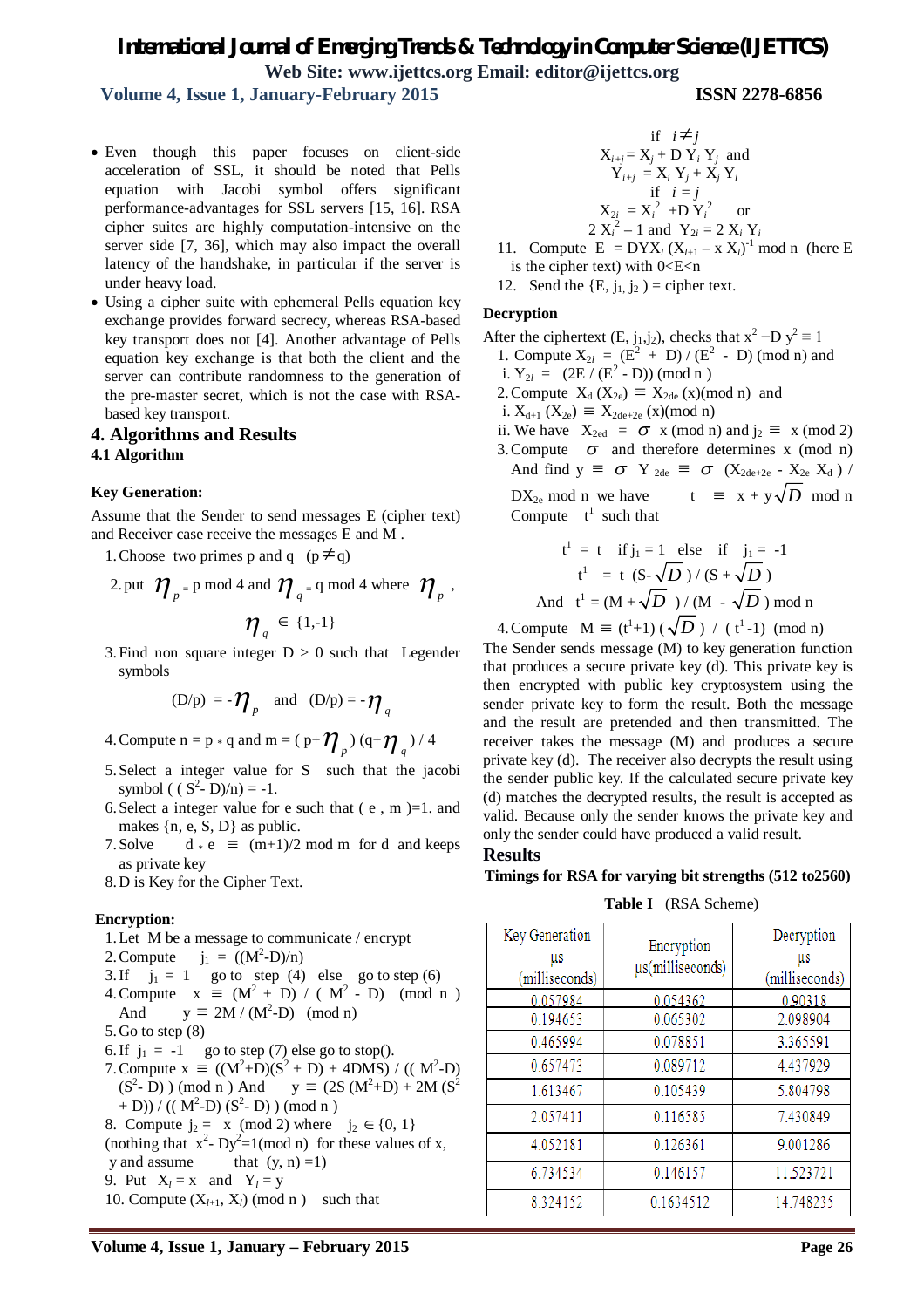**Volume 4, Issue 1, January-February 2015 ISSN 2278-6856**

- Even though this paper focuses on client-side acceleration of SSL, it should be noted that Pells equation with Jacobi symbol offers significant performance-advantages for SSL servers [15, 16]. RSA cipher suites are highly computation-intensive on the server side [7, 36], which may also impact the overall latency of the handshake, in particular if the server is under heavy load.
- Using a cipher suite with ephemeral Pells equation key exchange provides forward secrecy, whereas RSA-based key transport does not [4]. Another advantage of Pells equation key exchange is that both the client and the server can contribute randomness to the generation of the pre-master secret, which is not the case with RSAbased key transport.

#### **4. Algorithms and Results**

#### **4.1 Algorithm**

#### **Key Generation:**

Assume that the Sender to send messages E (cipher text) and Receiver case receive the messages E and M .

- 1. Choose two primes p and q  $(p \neq q)$
- 2. put  $\mathcal{W}_{p}$  = p mod 4 and  $\mathcal{W}_{q}$  = q mod 4 where  $\mathcal{W}_{p}$ ,  $\eta_q \in \{1,-1\}$
- 3. Find non square integer  $D > 0$  such that Legender symbols

$$
(D/p) = -\eta_p \quad \text{and} \quad (D/p) = -\eta_q
$$

- 4. Compute  $n = p * q$  and  $m = (p + \eta_p) (q + \eta_q) / 4$
- 5.Select a integer value for S such that the jacobi symbol (  $(S^2 - D)/n$ ) = -1.
- 6. Select a integer value for e such that  $(e, m) = 1$ . and makes  $\{n, e, S, D\}$  as public.
- 7. Solve  $d * e \equiv (m+1)/2 \mod m$  for d and keeps as private key
- 8.D is Key for the Cipher Text.

#### **Encryption:**

- 1.Let M be a message to communicate / encrypt
- 2. Compute  $j_1 = ((M^2-D)/n)$
- 3. If  $j_1 = 1$  go to step (4) else go to step (6) 4. Compute  $x \equiv (M^2 + D) / (M^2 - D) \pmod{n}$ And  $y \equiv 2M/(M^2-D) \pmod{n}$
- 5.Go to step (8)
- 6. If  $j_1 = -1$  go to step (7) else go to stop().
- 7. Compute  $x \equiv ((M^2 + D)(S^2 + D) + 4DMS) / ((M^2 D)$  $(S^2 - D)$ ) (mod n) And y  $\equiv (2S (M^2 + D) + 2M (S^2$ + D)) / ((  $M^2-D$ ) ( $S^2-D$ )) (mod n)
- 8. Compute  $j_2 = x \pmod{2}$  where  $j_2 \in \{0, 1\}$ (nothing that  $x^2$ - Dy<sup>2</sup>=1(mod n) for these values of x,
- y and assume that  $(y, n) = 1$ )
- 9. Put  $X_l = x$  and  $Y_l = y$
- 10. Compute  $(X_{l+1}, X_l)$  (mod n) such that

if 
$$
i \neq j
$$
  
\n $X_{i+j} = X_j + D Y_i Y_j$  and  
\n $Y_{i+j} = X_i Y_j + X_j Y_i$   
\nif  $i = j$   
\n $X_{2i} = X_i^2 + D Y_i^2$  or  
\n $2 X_i^2 - 1$  and  $Y_{2i} = 2 X_i Y_i$   
\nthe  $E - DYX_i(X_{i-1} - X_iX_i)^{-1}$ 

- 11. Compute  $E = DYX_l (X_{l+1} x X_l)^{-1} \text{ mod } n$  (here E is the cipher text) with  $0 < E < n$
- 12. Send the  $\{E, i_1, i_2\}$  = cipher text.

#### **Decryption**

After the ciphertext (E, j<sub>1</sub>,j<sub>2</sub>), checks that  $x^2 - Dy^2 \equiv 1$ 

- 1. Compute  $X_{2l} = (E^2 + D) / (E^2 D)$  (mod n) and
- i.  $Y_{2l} = (2E / (E^2 D)) \pmod{n}$
- 2. Compute  $X_d$  ( $X_{2e}$ )  $\equiv X_{2de}$  (x)(mod n) and
- i.  $X_{d+1}$  ( $X_{2e}$ )  $\equiv X_{2de+2e}$  (x)(mod n)
- ii. We have  $X_{2ed} = \sigma x \pmod{n}$  and  $j_2 \equiv x \pmod{2}$
- 3. Compute  $\sigma$  and therefore determines x (mod n) And find  $y \equiv \sigma Y_{2de} \equiv \sigma (X_{2de+2e} - X_{2e} X_d)$ DX<sub>2e</sub> mod n we have  $t \equiv x + y\sqrt{D}$  mod n Compute  $t^1$  such that

$$
t^{1} = t
$$
 if  $j_{1} = 1$  else if  $j_{1} = -1$   
\n $t^{1} = t$  (S- $\sqrt{D}$ )/(S+ $\sqrt{D}$ )  
\nAnd  $t^{1} = (M + \sqrt{D})/(M - \sqrt{D}) \text{ mod } n$ 

4. Compute  $M \equiv (t^1+1) (\sqrt{D}) / (t^1-1) \pmod{n}$ 

The Sender sends message (M) to key generation function that produces a secure private key (d). This private key is then encrypted with public key cryptosystem using the sender private key to form the result. Both the message and the result are pretended and then transmitted. The receiver takes the message (M) and produces a secure private key (d). The receiver also decrypts the result using the sender public key. If the calculated secure private key (d) matches the decrypted results, the result is accepted as valid. Because only the sender knows the private key and only the sender could have produced a valid result.

#### **Results**

#### **Timings for RSA for varying bit strengths (512 to2560)**

**Table I** (RSA Scheme)

| Key Generation<br>μs<br>(milliseconds) | Encryption<br>us(milliseconds) | Decryption<br>us<br>(milliseconds) |
|----------------------------------------|--------------------------------|------------------------------------|
| 0.057984                               | 0.054362                       | 0.90318                            |
| 0.194653                               | 0.065302                       | 2.098904                           |
| 0.465994                               | 0.078851                       | 3.365591                           |
| 0.657473                               | 0.089712                       | 4.437929                           |
| 1.613467                               | 0.105439                       | 5.804798                           |
| 2.057411                               | 0.116585                       | 7.430849                           |
| 4.052181                               | 0.126361                       | 9.001286                           |
| 6.734534                               | 0.146157                       | 11.523721                          |
| 8.324152                               | 0.1634512                      | 14.748235                          |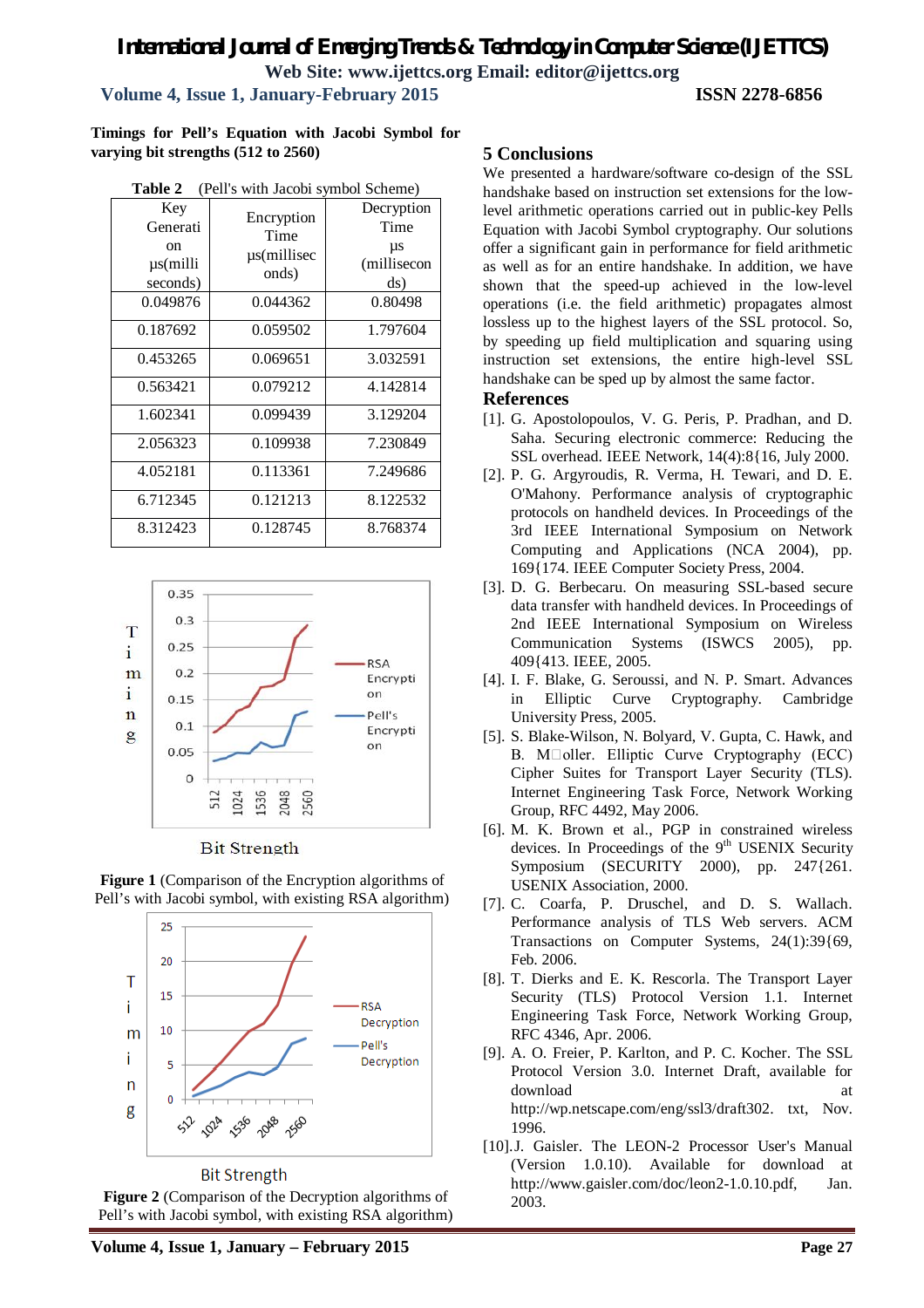## **Volume 4, Issue 1, January-February 2015 ISSN 2278-6856**

**Timings for Pell's Equation with Jacobi Symbol for varying bit strengths (512 to 2560)**

| Key<br>Generati                 | Encryption                   | Decryption<br>Time       |
|---------------------------------|------------------------------|--------------------------|
| on<br>$\mu$ s(milli<br>seconds) | Time<br>µs(millisec<br>onds) | μs<br>(millisecon<br>ds) |
| 0.049876                        | 0.044362                     | 0.80498                  |
| 0.187692                        | 0.059502                     | 1.797604                 |
| 0.453265                        | 0.069651                     | 3.032591                 |
| 0.563421                        | 0.079212                     | 4.142814                 |
| 1.602341                        | 0.099439                     | 3.129204                 |
| 2.056323                        | 0.109938                     | 7.230849                 |
| 4.052181                        | 0.113361                     | 7.249686                 |
| 6.712345                        | 0.121213                     | 8.122532                 |
| 8.312423                        | 0.128745                     | 8.768374                 |





**Bit Strength** 



**Figure 1** (Comparison of the Encryption algorithms of Pell's with Jacobi symbol, with existing RSA algorithm)

#### **Bit Strength**

**Figure 2** (Comparison of the Decryption algorithms of Pell's with Jacobi symbol, with existing RSA algorithm)

#### **5 Conclusions**

We presented a hardware/software co-design of the SSL handshake based on instruction set extensions for the lowlevel arithmetic operations carried out in public-key Pells Equation with Jacobi Symbol cryptography. Our solutions offer a significant gain in performance for field arithmetic as well as for an entire handshake. In addition, we have shown that the speed-up achieved in the low-level operations (i.e. the field arithmetic) propagates almost lossless up to the highest layers of the SSL protocol. So, by speeding up field multiplication and squaring using instruction set extensions, the entire high-level SSL handshake can be sped up by almost the same factor.

#### **References**

- [1]. G. Apostolopoulos, V. G. Peris, P. Pradhan, and D. Saha. Securing electronic commerce: Reducing the SSL overhead. IEEE Network, 14(4):8{16, July 2000.
- [2]. P. G. Argyroudis, R. Verma, H. Tewari, and D. E. O'Mahony. Performance analysis of cryptographic protocols on handheld devices. In Proceedings of the 3rd IEEE International Symposium on Network Computing and Applications (NCA 2004), pp. 169{174. IEEE Computer Society Press, 2004.
- [3]. D. G. Berbecaru. On measuring SSL-based secure data transfer with handheld devices. In Proceedings of 2nd IEEE International Symposium on Wireless Communication Systems (ISWCS 2005), pp. 409{413. IEEE, 2005.
- [4]. I. F. Blake, G. Seroussi, and N. P. Smart. Advances in Elliptic Curve Cryptography. Cambridge University Press, 2005.
- [5]. S. Blake-Wilson, N. Bolyard, V. Gupta, C. Hawk, and B. M $\Box$ oller. Elliptic Curve Cryptography (ECC) Cipher Suites for Transport Layer Security (TLS). Internet Engineering Task Force, Network Working Group, RFC 4492, May 2006.
- [6]. M. K. Brown et al., PGP in constrained wireless devices. In Proceedings of the 9<sup>th</sup> USENIX Security Symposium (SECURITY 2000), pp. 247{261. USENIX Association, 2000.
- [7]. C. Coarfa, P. Druschel, and D. S. Wallach. Performance analysis of TLS Web servers. ACM Transactions on Computer Systems, 24(1):39{69, Feb. 2006.
- [8]. T. Dierks and E. K. Rescorla. The Transport Layer Security (TLS) Protocol Version 1.1. Internet Engineering Task Force, Network Working Group, RFC 4346, Apr. 2006.
- [9]. A. O. Freier, P. Karlton, and P. C. Kocher. The SSL Protocol Version 3.0. Internet Draft, available for download at a state of the state at a state of the state at a state of the state at a state of the state at a state  $\alpha$ http://wp.netscape.com/eng/ssl3/draft302. txt, Nov. 1996.
- [10].J. Gaisler. The LEON-2 Processor User's Manual (Version 1.0.10). Available for download at http://www.gaisler.com/doc/leon2-1.0.10.pdf, Jan. 2003.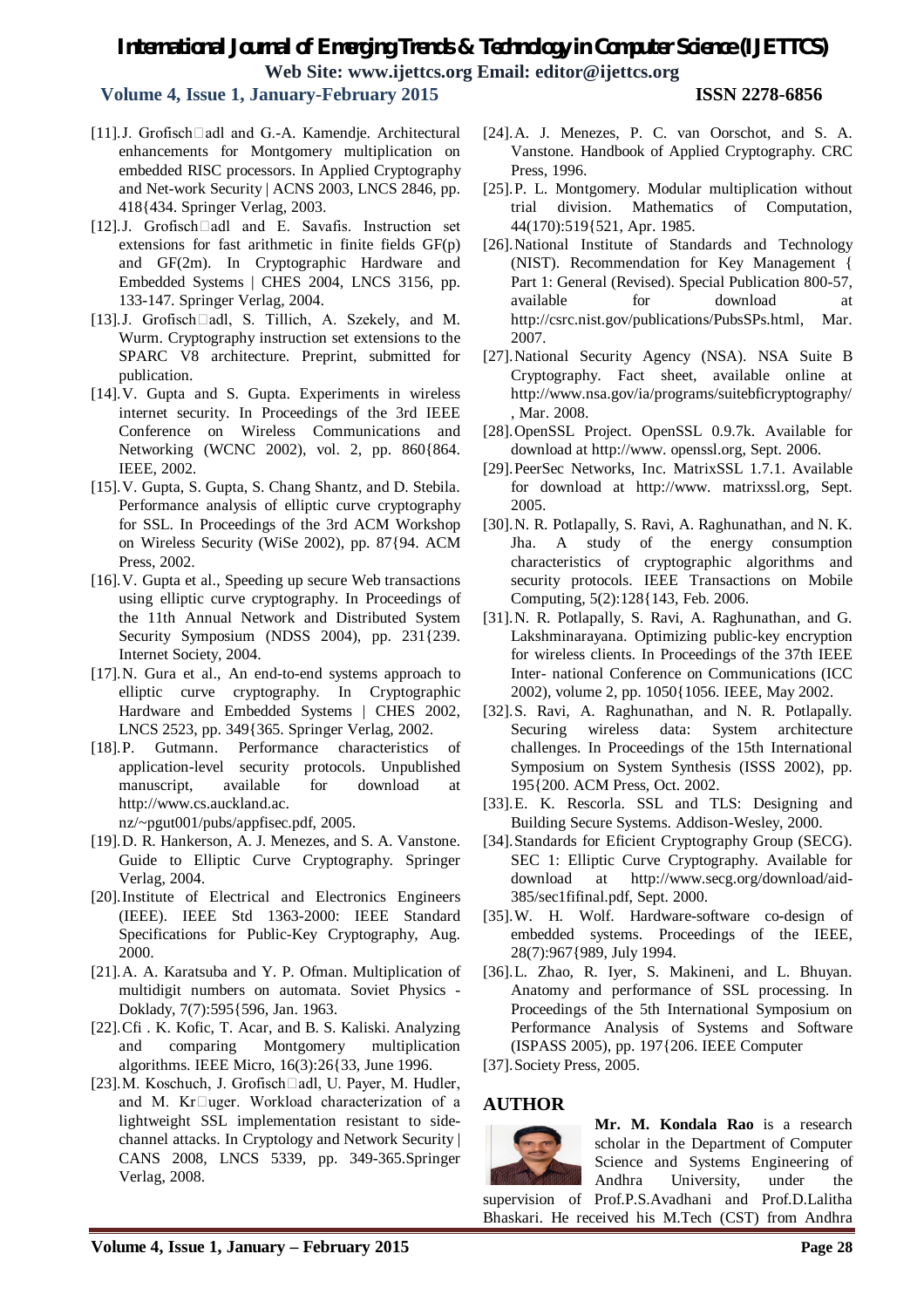## **Volume 4, Issue 1, January-February 2015 ISSN 2278-6856**

- [11].J. Grofisch $\Box$ adl and G.-A. Kamendje. Architectural enhancements for Montgomery multiplication on embedded RISC processors. In Applied Cryptography and Net-work Security | ACNS 2003, LNCS 2846, pp. 418{434. Springer Verlag, 2003.
- [12].J. Grofisch $\Box$ adl and E. Savafis. Instruction set extensions for fast arithmetic in finite fields GF(p) and GF(2m). In Cryptographic Hardware and Embedded Systems | CHES 2004, LNCS 3156, pp. 133-147. Springer Verlag, 2004.
- [13].J. Grofisch $\Box$ adl, S. Tillich, A. Szekely, and M. Wurm. Cryptography instruction set extensions to the SPARC V8 architecture. Preprint, submitted for publication.
- [14].V. Gupta and S. Gupta. Experiments in wireless internet security. In Proceedings of the 3rd IEEE Conference on Wireless Communications and Networking (WCNC 2002), vol. 2, pp. 860{864. IEEE, 2002.
- [15].V. Gupta, S. Gupta, S. Chang Shantz, and D. Stebila. Performance analysis of elliptic curve cryptography for SSL. In Proceedings of the 3rd ACM Workshop on Wireless Security (WiSe 2002), pp. 87{94. ACM Press, 2002.
- [16].V. Gupta et al., Speeding up secure Web transactions using elliptic curve cryptography. In Proceedings of the 11th Annual Network and Distributed System Security Symposium (NDSS 2004), pp. 231{239. Internet Society, 2004.
- [17].N. Gura et al., An end-to-end systems approach to elliptic curve cryptography. In Cryptographic Hardware and Embedded Systems | CHES 2002, LNCS 2523, pp. 349{365. Springer Verlag, 2002.
- [18].P. Gutmann. Performance characteristics of application-level security protocols. Unpublished manuscript, available for download at http://www.cs.auckland.ac.

nz/~pgut001/pubs/appfisec.pdf, 2005.

- [19].D. R. Hankerson, A. J. Menezes, and S. A. Vanstone. Guide to Elliptic Curve Cryptography. Springer Verlag, 2004.
- [20].Institute of Electrical and Electronics Engineers (IEEE). IEEE Std 1363-2000: IEEE Standard Specifications for Public-Key Cryptography, Aug. 2000.
- [21].A. A. Karatsuba and Y. P. Ofman. Multiplication of multidigit numbers on automata. Soviet Physics - Doklady, 7(7):595{596, Jan. 1963.
- [22].Cfi . K. Kofic, T. Acar, and B. S. Kaliski. Analyzing and comparing Montgomery multiplication algorithms. IEEE Micro, 16(3):26{33, June 1996.
- [23]. M. Koschuch, J. Grofisch $\Box$ adl, U. Payer, M. Hudler, and M. Kr $\Box$ uger. Workload characterization of a lightweight SSL implementation resistant to sidechannel attacks. In Cryptology and Network Security | CANS 2008, LNCS 5339, pp. 349-365.Springer Verlag, 2008.
- [24].A. J. Menezes, P. C. van Oorschot, and S. A. Vanstone. Handbook of Applied Cryptography. CRC Press, 1996.
- [25].P. L. Montgomery. Modular multiplication without trial division. Mathematics of Computation, 44(170):519{521, Apr. 1985.
- [26].National Institute of Standards and Technology (NIST). Recommendation for Key Management { Part 1: General (Revised). Special Publication 800-57, available for download at http://csrc.nist.gov/publications/PubsSPs.html, Mar. 2007.
- [27].National Security Agency (NSA). NSA Suite B Cryptography. Fact sheet, available online at http://www.nsa.gov/ia/programs/suitebficryptography/ , Mar. 2008.
- [28].OpenSSL Project. OpenSSL 0.9.7k. Available for download at http://www. openssl.org, Sept. 2006.
- [29].PeerSec Networks, Inc. MatrixSSL 1.7.1. Available for download at http://www. matrixssl.org, Sept. 2005.
- [30].N. R. Potlapally, S. Ravi, A. Raghunathan, and N. K. Jha. A study of the energy consumption characteristics of cryptographic algorithms and security protocols. IEEE Transactions on Mobile Computing, 5(2):128{143, Feb. 2006.
- [31].N. R. Potlapally, S. Ravi, A. Raghunathan, and G. Lakshminarayana. Optimizing public-key encryption for wireless clients. In Proceedings of the 37th IEEE Inter- national Conference on Communications (ICC 2002), volume 2, pp. 1050{1056. IEEE, May 2002.
- [32].S. Ravi, A. Raghunathan, and N. R. Potlapally. Securing wireless data: System architecture challenges. In Proceedings of the 15th International Symposium on System Synthesis (ISSS 2002), pp. 195{200. ACM Press, Oct. 2002.
- [33].E. K. Rescorla. SSL and TLS: Designing and Building Secure Systems. Addison-Wesley, 2000.
- [34].Standards for Eficient Cryptography Group (SECG). SEC 1: Elliptic Curve Cryptography. Available for download at http://www.secg.org/download/aid-385/sec1fifinal.pdf, Sept. 2000.
- [35].W. H. Wolf. Hardware-software co-design of embedded systems. Proceedings of the IEEE, 28(7):967{989, July 1994.
- [36].L. Zhao, R. Iyer, S. Makineni, and L. Bhuyan. Anatomy and performance of SSL processing. In Proceedings of the 5th International Symposium on Performance Analysis of Systems and Software (ISPASS 2005), pp. 197{206. IEEE Computer
- [37].Society Press, 2005.

## **AUTHOR**



**Mr. M. Kondala Rao** is a research scholar in the Department of Computer Science and Systems Engineering of Andhra University, under the

supervision of Prof.P.S.Avadhani and Prof.D.Lalitha Bhaskari. He received his M.Tech (CST) from Andhra